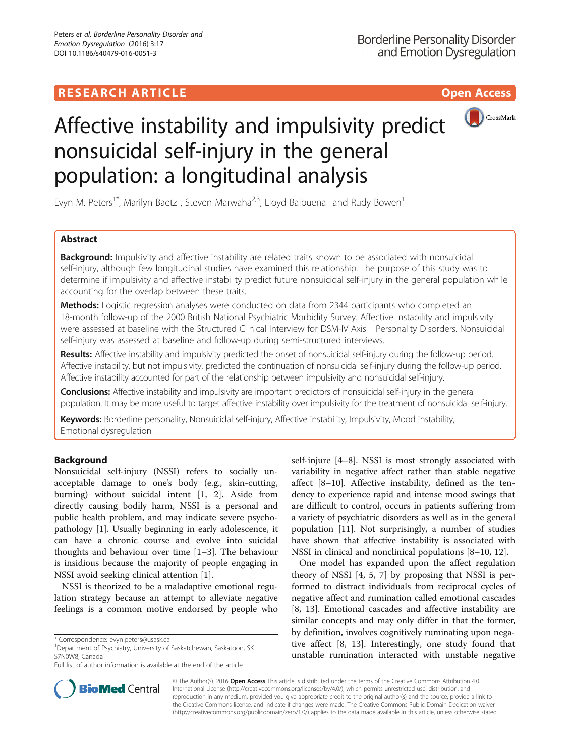## **RESEARCH ARTICLE Example 2018 12:00 Deep Access**



# Affective instability and impulsivity predict nonsuicidal self-injury in the general population: a longitudinal analysis

Evyn M. Peters<sup>1\*</sup>, Marilyn Baetz<sup>1</sup>, Steven Marwaha<sup>2,3</sup>, Lloyd Balbuena<sup>1</sup> and Rudy Bowen<sup>1</sup>

## Abstract

Background: Impulsivity and affective instability are related traits known to be associated with nonsuicidal self-injury, although few longitudinal studies have examined this relationship. The purpose of this study was to determine if impulsivity and affective instability predict future nonsuicidal self-injury in the general population while accounting for the overlap between these traits.

Methods: Logistic regression analyses were conducted on data from 2344 participants who completed an 18-month follow-up of the 2000 British National Psychiatric Morbidity Survey. Affective instability and impulsivity were assessed at baseline with the Structured Clinical Interview for DSM-IV Axis II Personality Disorders. Nonsuicidal self-injury was assessed at baseline and follow-up during semi-structured interviews.

Results: Affective instability and impulsivity predicted the onset of nonsuicidal self-injury during the follow-up period. Affective instability, but not impulsivity, predicted the continuation of nonsuicidal self-injury during the follow-up period. Affective instability accounted for part of the relationship between impulsivity and nonsuicidal self-injury.

Conclusions: Affective instability and impulsivity are important predictors of nonsuicidal self-injury in the general population. It may be more useful to target affective instability over impulsivity for the treatment of nonsuicidal self-injury.

Keywords: Borderline personality, Nonsuicidal self-injury, Affective instability, Impulsivity, Mood instability, Emotional dysregulation

## Background

Nonsuicidal self-injury (NSSI) refers to socially unacceptable damage to one's body (e.g., skin-cutting, burning) without suicidal intent [[1](#page-5-0), [2](#page-5-0)]. Aside from directly causing bodily harm, NSSI is a personal and public health problem, and may indicate severe psychopathology [[1\]](#page-5-0). Usually beginning in early adolescence, it can have a chronic course and evolve into suicidal thoughts and behaviour over time [[1](#page-5-0)–[3](#page-5-0)]. The behaviour is insidious because the majority of people engaging in NSSI avoid seeking clinical attention [[1\]](#page-5-0).

NSSI is theorized to be a maladaptive emotional regulation strategy because an attempt to alleviate negative feelings is a common motive endorsed by people who

<sup>1</sup>Department of Psychiatry, University of Saskatchewan, Saskatoon, SK S7N0W8, Canada

self-injure [\[4](#page-5-0)–[8\]](#page-5-0). NSSI is most strongly associated with variability in negative affect rather than stable negative affect [\[8](#page-5-0)–[10\]](#page-5-0). Affective instability, defined as the tendency to experience rapid and intense mood swings that are difficult to control, occurs in patients suffering from a variety of psychiatric disorders as well as in the general population [[11\]](#page-5-0). Not surprisingly, a number of studies have shown that affective instability is associated with NSSI in clinical and nonclinical populations [[8](#page-5-0)–[10, 12](#page-5-0)].

One model has expanded upon the affect regulation theory of NSSI [[4, 5, 7\]](#page-5-0) by proposing that NSSI is performed to distract individuals from reciprocal cycles of negative affect and rumination called emotional cascades [[8, 13](#page-5-0)]. Emotional cascades and affective instability are similar concepts and may only differ in that the former, by definition, involves cognitively ruminating upon negative affect [\[8](#page-5-0), [13](#page-5-0)]. Interestingly, one study found that unstable rumination interacted with unstable negative



© The Author(s). 2016 Open Access This article is distributed under the terms of the Creative Commons Attribution 4.0 International License [\(http://creativecommons.org/licenses/by/4.0/](http://creativecommons.org/licenses/by/4.0/)), which permits unrestricted use, distribution, and reproduction in any medium, provided you give appropriate credit to the original author(s) and the source, provide a link to the Creative Commons license, and indicate if changes were made. The Creative Commons Public Domain Dedication waiver [\(http://creativecommons.org/publicdomain/zero/1.0/](http://creativecommons.org/publicdomain/zero/1.0/)) applies to the data made available in this article, unless otherwise stated.

<sup>\*</sup> Correspondence: [evyn.peters@usask.ca](mailto:evyn.peters@usask.ca) <sup>1</sup>

Full list of author information is available at the end of the article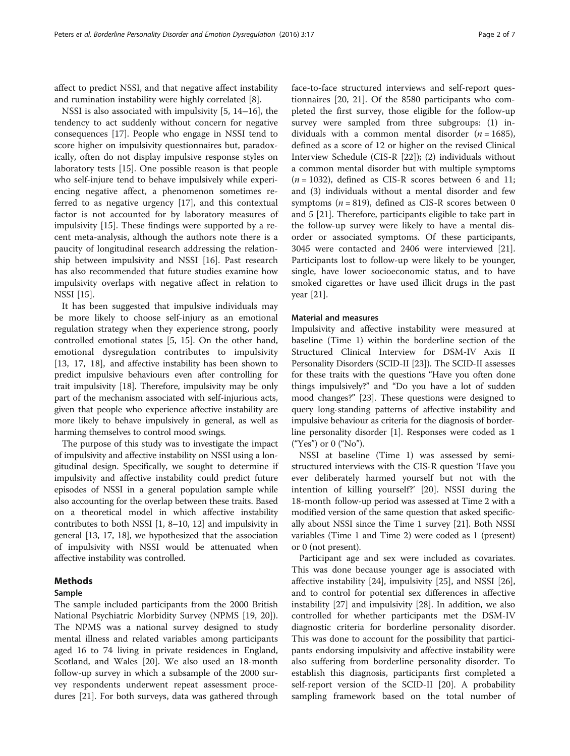affect to predict NSSI, and that negative affect instability and rumination instability were highly correlated [\[8](#page-5-0)].

NSSI is also associated with impulsivity [[5](#page-5-0), [14](#page-5-0)–[16](#page-5-0)], the tendency to act suddenly without concern for negative consequences [[17\]](#page-5-0). People who engage in NSSI tend to score higher on impulsivity questionnaires but, paradoxically, often do not display impulsive response styles on laboratory tests [\[15](#page-5-0)]. One possible reason is that people who self-injure tend to behave impulsively while experiencing negative affect, a phenomenon sometimes referred to as negative urgency [\[17\]](#page-5-0), and this contextual factor is not accounted for by laboratory measures of impulsivity [\[15](#page-5-0)]. These findings were supported by a recent meta-analysis, although the authors note there is a paucity of longitudinal research addressing the relationship between impulsivity and NSSI [[16\]](#page-5-0). Past research has also recommended that future studies examine how impulsivity overlaps with negative affect in relation to NSSI [[15](#page-5-0)].

It has been suggested that impulsive individuals may be more likely to choose self-injury as an emotional regulation strategy when they experience strong, poorly controlled emotional states [[5](#page-5-0), [15\]](#page-5-0). On the other hand, emotional dysregulation contributes to impulsivity [[13, 17](#page-5-0), [18\]](#page-5-0), and affective instability has been shown to predict impulsive behaviours even after controlling for trait impulsivity [[18](#page-5-0)]. Therefore, impulsivity may be only part of the mechanism associated with self-injurious acts, given that people who experience affective instability are more likely to behave impulsively in general, as well as harming themselves to control mood swings.

The purpose of this study was to investigate the impact of impulsivity and affective instability on NSSI using a longitudinal design. Specifically, we sought to determine if impulsivity and affective instability could predict future episodes of NSSI in a general population sample while also accounting for the overlap between these traits. Based on a theoretical model in which affective instability contributes to both NSSI [\[1](#page-5-0), [8](#page-5-0)–[10, 12\]](#page-5-0) and impulsivity in general [\[13, 17](#page-5-0), [18](#page-5-0)], we hypothesized that the association of impulsivity with NSSI would be attenuated when affective instability was controlled.

## Methods

## Sample

The sample included participants from the 2000 British National Psychiatric Morbidity Survey (NPMS [[19](#page-5-0), [20](#page-5-0)]). The NPMS was a national survey designed to study mental illness and related variables among participants aged 16 to 74 living in private residences in England, Scotland, and Wales [[20\]](#page-5-0). We also used an 18-month follow-up survey in which a subsample of the 2000 survey respondents underwent repeat assessment procedures [[21\]](#page-5-0). For both surveys, data was gathered through face-to-face structured interviews and self-report questionnaires [[20](#page-5-0), [21\]](#page-5-0). Of the 8580 participants who completed the first survey, those eligible for the follow-up survey were sampled from three subgroups: (1) individuals with a common mental disorder  $(n = 1685)$ , defined as a score of 12 or higher on the revised Clinical Interview Schedule (CIS-R [\[22](#page-5-0)]); (2) individuals without a common mental disorder but with multiple symptoms  $(n = 1032)$ , defined as CIS-R scores between 6 and 11; and (3) individuals without a mental disorder and few symptoms ( $n = 819$ ), defined as CIS-R scores between 0 and 5 [[21\]](#page-5-0). Therefore, participants eligible to take part in the follow-up survey were likely to have a mental disorder or associated symptoms. Of these participants, 3045 were contacted and 2406 were interviewed [\[21](#page-5-0)]. Participants lost to follow-up were likely to be younger, single, have lower socioeconomic status, and to have smoked cigarettes or have used illicit drugs in the past year [[21\]](#page-5-0).

## Material and measures

Impulsivity and affective instability were measured at baseline (Time 1) within the borderline section of the Structured Clinical Interview for DSM-IV Axis II Personality Disorders (SCID-II [\[23\]](#page-5-0)). The SCID-II assesses for these traits with the questions "Have you often done things impulsively?" and "Do you have a lot of sudden mood changes?" [[23](#page-5-0)]. These questions were designed to query long-standing patterns of affective instability and impulsive behaviour as criteria for the diagnosis of borderline personality disorder [\[1](#page-5-0)]. Responses were coded as 1 ("Yes") or 0 ("No").

NSSI at baseline (Time 1) was assessed by semistructured interviews with the CIS-R question 'Have you ever deliberately harmed yourself but not with the intention of killing yourself?' [\[20](#page-5-0)]. NSSI during the 18-month follow-up period was assessed at Time 2 with a modified version of the same question that asked specifically about NSSI since the Time 1 survey [\[21\]](#page-5-0). Both NSSI variables (Time 1 and Time 2) were coded as 1 (present) or 0 (not present).

Participant age and sex were included as covariates. This was done because younger age is associated with affective instability [\[24](#page-5-0)], impulsivity [[25](#page-5-0)], and NSSI [\[26](#page-5-0)], and to control for potential sex differences in affective instability [\[27\]](#page-5-0) and impulsivity [[28\]](#page-5-0). In addition, we also controlled for whether participants met the DSM-IV diagnostic criteria for borderline personality disorder. This was done to account for the possibility that participants endorsing impulsivity and affective instability were also suffering from borderline personality disorder. To establish this diagnosis, participants first completed a self-report version of the SCID-II [\[20](#page-5-0)]. A probability sampling framework based on the total number of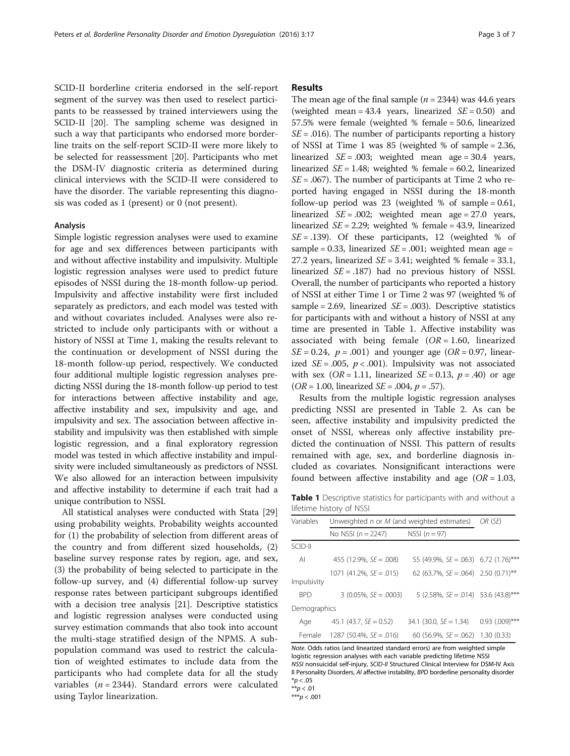SCID-II borderline criteria endorsed in the self-report segment of the survey was then used to reselect participants to be reassessed by trained interviewers using the SCID-II [[20\]](#page-5-0). The sampling scheme was designed in such a way that participants who endorsed more borderline traits on the self-report SCID-II were more likely to be selected for reassessment [\[20](#page-5-0)]. Participants who met the DSM-IV diagnostic criteria as determined during clinical interviews with the SCID-II were considered to have the disorder. The variable representing this diagnosis was coded as 1 (present) or 0 (not present).

#### Analysis

Simple logistic regression analyses were used to examine for age and sex differences between participants with and without affective instability and impulsivity. Multiple logistic regression analyses were used to predict future episodes of NSSI during the 18-month follow-up period. Impulsivity and affective instability were first included separately as predictors, and each model was tested with and without covariates included. Analyses were also restricted to include only participants with or without a history of NSSI at Time 1, making the results relevant to the continuation or development of NSSI during the 18-month follow-up period, respectively. We conducted four additional multiple logistic regression analyses predicting NSSI during the 18-month follow-up period to test for interactions between affective instability and age, affective instability and sex, impulsivity and age, and impulsivity and sex. The association between affective instability and impulsivity was then established with simple logistic regression, and a final exploratory regression model was tested in which affective instability and impulsivity were included simultaneously as predictors of NSSI. We also allowed for an interaction between impulsivity and affective instability to determine if each trait had a unique contribution to NSSI.

All statistical analyses were conducted with Stata [[29](#page-5-0)] using probability weights. Probability weights accounted for (1) the probability of selection from different areas of the country and from different sized households, (2) baseline survey response rates by region, age, and sex, (3) the probability of being selected to participate in the follow-up survey, and (4) differential follow-up survey response rates between participant subgroups identified with a decision tree analysis [[21](#page-5-0)]. Descriptive statistics and logistic regression analyses were conducted using survey estimation commands that also took into account the multi-stage stratified design of the NPMS. A subpopulation command was used to restrict the calculation of weighted estimates to include data from the participants who had complete data for all the study variables ( $n = 2344$ ). Standard errors were calculated using Taylor linearization.

## Results

The mean age of the final sample  $(n = 2344)$  was 44.6 years (weighted mean = 43.4 years, linearized  $SE = 0.50$ ) and 57.5% were female (weighted % female = 50.6, linearized  $SE = .016$ ). The number of participants reporting a history of NSSI at Time 1 was 85 (weighted % of sample = 2.36, linearized  $SE = .003$ ; weighted mean age = 30.4 years, linearized  $SE = 1.48$ ; weighted % female = 60.2, linearized  $SE = .067$ ). The number of participants at Time 2 who reported having engaged in NSSI during the 18-month follow-up period was 23 (weighted % of sample  $= 0.61$ , linearized  $SE = .002$ ; weighted mean age = 27.0 years, linearized  $SE = 2.29$ ; weighted % female = 43.9, linearized  $SE = .139$ ). Of these participants, 12 (weighted % of sample = 0.33, linearized  $SE = .001$ ; weighted mean age = 27.2 years, linearized  $SE = 3.41$ ; weighted % female = 33.1, linearized  $SE = .187$ ) had no previous history of NSSI. Overall, the number of participants who reported a history of NSSI at either Time 1 or Time 2 was 97 (weighted % of sample = 2.69, linearized  $SE = .003$ ). Descriptive statistics for participants with and without a history of NSSI at any time are presented in Table 1. Affective instability was associated with being female  $(OR = 1.60,$  linearized  $SE = 0.24$ ,  $p = .001$ ) and younger age (OR = 0.97, linearized  $SE = .005$ ,  $p < .001$ ). Impulsivity was not associated with sex ( $OR = 1.11$ , linearized  $SE = 0.13$ ,  $p = .40$ ) or age  $(OR = 1.00, linearized SE = .004, p = .57).$ 

Results from the multiple logistic regression analyses predicting NSSI are presented in Table [2.](#page-3-0) As can be seen, affective instability and impulsivity predicted the onset of NSSI, whereas only affective instability predicted the continuation of NSSI. This pattern of results remained with age, sex, and borderline diagnosis included as covariates. Nonsignificant interactions were found between affective instability and age  $(OR = 1.03,$ 

**Table 1** Descriptive statistics for participants with and without a lifetime history of NSSI

| Variables    | Unweighted n or M (and weighted estimates) |                                         | OR (SE)             |
|--------------|--------------------------------------------|-----------------------------------------|---------------------|
|              | No NSSI $(n = 2247)$                       | NSSI $(n=97)$                           |                     |
| SCID-II      |                                            |                                         |                     |
| AI           | 455 (12.9%, $SE = .008$ )                  | 55 (49.9%, $SE = .063$ ) 6.72 (1.76)*** |                     |
|              | $1071$ (41.2%, SE = .015)                  | 62 (63.7%, $SE = .064$ ) 2.50 (0.71)**  |                     |
| Impulsivity  |                                            |                                         |                     |
| <b>BPD</b>   | $3(0.05\%.\;SE=.0003)$                     | 5 (2.58%, $SE = .014$ ) 53.6 (43.8)***  |                     |
| Demographics |                                            |                                         |                     |
| Age          | 45.1 (43.7, $SE = 0.52$ )                  | $34.1$ (30.0, SE = 1.34)                | $0.93$ $(.009)$ *** |
| Female       | 1287 (50.4%, $SE = .016$ )                 | 60 (56.9%, $SE = .062$ )                | 1.30(0.33)          |

Note. Odds ratios (and linearized standard errors) are from weighted simple logistic regression analyses with each variable predicting lifetime NSSI NSSI nonsuicidal self-injury, SCID-II Structured Clinical Interview for DSM-IV Axis II Personality Disorders, AI affective instability, BPD borderline personality disorder  $*p < .05$ 

 $* p < .01$ 

 $***p < .001$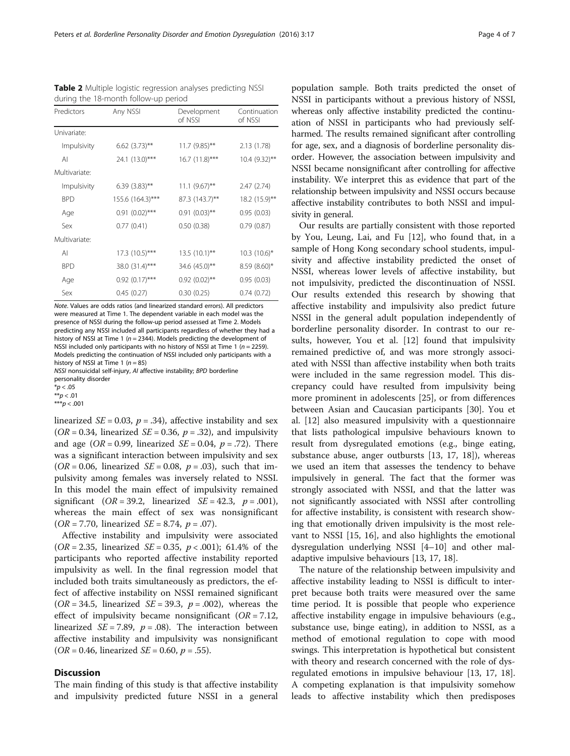Note. Values are odds ratios (and linearized standard errors). All predictors were measured at Time 1. The dependent variable in each model was the presence of NSSI during the follow-up period assessed at Time 2. Models predicting any NSSI included all participants regardless of whether they had a history of NSSI at Time 1 ( $n = 2344$ ). Models predicting the development of NSSI included only participants with no history of NSSI at Time 1 ( $n = 2259$ ). Models predicting the continuation of NSSI included only participants with a history of NSSI at Time 1 ( $n = 85$ )

NSSI nonsuicidal self-injury, AI affective instability; BPD borderline

personality disorder

 $*$ *p* < .05

 $*_{D} < .01$ \*\*\* $p < .001$ 

linearized  $SE = 0.03$ ,  $p = .34$ ), affective instability and sex  $(OR = 0.34,$  linearized  $SE = 0.36, p = .32$ , and impulsivity and age ( $OR = 0.99$ , linearized  $SE = 0.04$ ,  $p = .72$ ). There was a significant interaction between impulsivity and sex  $(OR = 0.06, linearized SE = 0.08, p = .03)$ , such that impulsivity among females was inversely related to NSSI. In this model the main effect of impulsivity remained significant (OR = 39.2, linearized  $SE = 42.3$ ,  $p = .001$ ), whereas the main effect of sex was nonsignificant  $(OR = 7.70, linearized SE = 8.74, p = .07).$ 

Affective instability and impulsivity were associated ( $OR = 2.35$ , linearized  $SE = 0.35$ ,  $p < .001$ ); 61.4% of the participants who reported affective instability reported impulsivity as well. In the final regression model that included both traits simultaneously as predictors, the effect of affective instability on NSSI remained significant  $(OR = 34.5, linearized SE = 39.3, p = .002)$ , whereas the effect of impulsivity became nonsignificant  $(OR = 7.12,$ linearized  $SE = 7.89$ ,  $p = .08$ ). The interaction between affective instability and impulsivity was nonsignificant  $(OR = 0.46, linearized SE = 0.60, p = .55).$ 

## **Discussion**

The main finding of this study is that affective instability and impulsivity predicted future NSSI in a general

population sample. Both traits predicted the onset of NSSI in participants without a previous history of NSSI, whereas only affective instability predicted the continuation of NSSI in participants who had previously selfharmed. The results remained significant after controlling for age, sex, and a diagnosis of borderline personality disorder. However, the association between impulsivity and NSSI became nonsignificant after controlling for affective instability. We interpret this as evidence that part of the relationship between impulsivity and NSSI occurs because affective instability contributes to both NSSI and impulsivity in general.

Our results are partially consistent with those reported by You, Leung, Lai, and Fu [[12\]](#page-5-0), who found that, in a sample of Hong Kong secondary school students, impulsivity and affective instability predicted the onset of NSSI, whereas lower levels of affective instability, but not impulsivity, predicted the discontinuation of NSSI. Our results extended this research by showing that affective instability and impulsivity also predict future NSSI in the general adult population independently of borderline personality disorder. In contrast to our results, however, You et al. [[12](#page-5-0)] found that impulsivity remained predictive of, and was more strongly associated with NSSI than affective instability when both traits were included in the same regression model. This discrepancy could have resulted from impulsivity being more prominent in adolescents [[25](#page-5-0)], or from differences between Asian and Caucasian participants [[30\]](#page-6-0). You et al. [\[12](#page-5-0)] also measured impulsivity with a questionnaire that lists pathological impulsive behaviours known to result from dysregulated emotions (e.g., binge eating, substance abuse, anger outbursts [[13, 17, 18\]](#page-5-0)), whereas we used an item that assesses the tendency to behave impulsively in general. The fact that the former was strongly associated with NSSI, and that the latter was not significantly associated with NSSI after controlling for affective instability, is consistent with research showing that emotionally driven impulsivity is the most relevant to NSSI [\[15](#page-5-0), [16\]](#page-5-0), and also highlights the emotional dysregulation underlying NSSI [\[4](#page-5-0)–[10\]](#page-5-0) and other maladaptive impulsive behaviours [[13, 17](#page-5-0), [18](#page-5-0)].

The nature of the relationship between impulsivity and affective instability leading to NSSI is difficult to interpret because both traits were measured over the same time period. It is possible that people who experience affective instability engage in impulsive behaviours (e.g., substance use, binge eating), in addition to NSSI, as a method of emotional regulation to cope with mood swings. This interpretation is hypothetical but consistent with theory and research concerned with the role of dysregulated emotions in impulsive behaviour [\[13](#page-5-0), [17](#page-5-0), [18](#page-5-0)]. A competing explanation is that impulsivity somehow leads to affective instability which then predisposes

<span id="page-3-0"></span>Table 2 Multiple logistic regression analyses predicting NSSI during the 18-month follow-up period

| Predictors    | Any NSSI            | Development<br>of NSSI | Continuation<br>of NSSI    |
|---------------|---------------------|------------------------|----------------------------|
| Univariate:   |                     |                        |                            |
| Impulsivity   | $6.62$ (3.73)**     | $11.7(9.85)$ **        | 2.13 (1.78)                |
| $\mathsf{A}$  | 24.1 (13.0)***      | $16.7 (11.8)$ ***      | $10.4 (9.32)$ **           |
| Multivariate: |                     |                        |                            |
| Impulsivity   | $6.39(3.83)$ **     | $11.1 (9.67)$ **       | 2.47(2.74)                 |
| <b>BPD</b>    | 155.6 (164.3)***    | 87.3 (143.7)**         | 18.2 (15.9)**              |
| Age           | $0.91(0.02)$ ***    | $0.91(0.03)$ **        | 0.95(0.03)                 |
| Sex           | 0.77(0.41)          | 0.50(0.38)             | 0.79(0.87)                 |
| Multivariate: |                     |                        |                            |
| ΑI            | $17.3(10.5)***$     | $13.5(10.1)$ **        | $10.3$ (10.6) <sup>*</sup> |
| <b>BPD</b>    | 38.0 (31.4)***      | 34.6 (45.0)**          | 8.59 (8.60)*               |
| Age           | $0.92$ $(0.17)$ *** | $0.92$ $(0.02)$ **     | 0.95(0.03)                 |
| Sex           | 0.45(0.27)          | 0.30(0.25)             | 0.74(0.72)                 |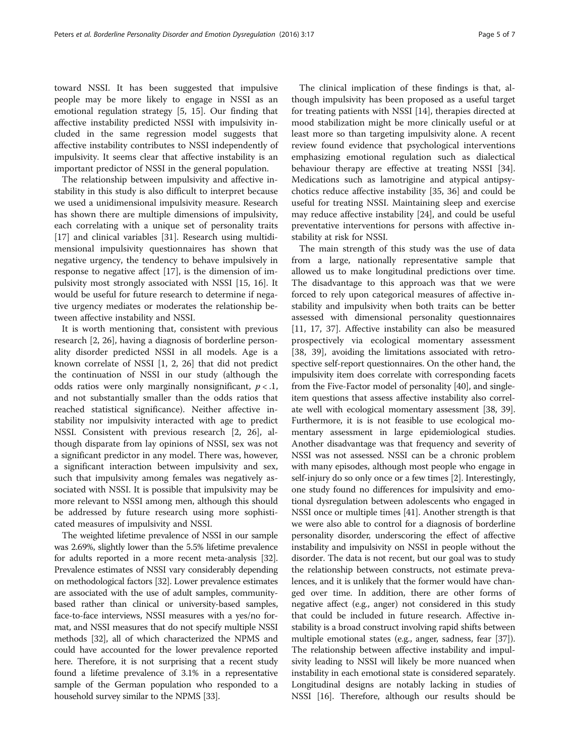toward NSSI. It has been suggested that impulsive people may be more likely to engage in NSSI as an emotional regulation strategy [[5, 15\]](#page-5-0). Our finding that affective instability predicted NSSI with impulsivity included in the same regression model suggests that affective instability contributes to NSSI independently of impulsivity. It seems clear that affective instability is an important predictor of NSSI in the general population.

The relationship between impulsivity and affective instability in this study is also difficult to interpret because we used a unidimensional impulsivity measure. Research has shown there are multiple dimensions of impulsivity, each correlating with a unique set of personality traits [[17\]](#page-5-0) and clinical variables [[31\]](#page-6-0). Research using multidimensional impulsivity questionnaires has shown that negative urgency, the tendency to behave impulsively in response to negative affect [[17\]](#page-5-0), is the dimension of impulsivity most strongly associated with NSSI [[15](#page-5-0), [16](#page-5-0)]. It would be useful for future research to determine if negative urgency mediates or moderates the relationship between affective instability and NSSI.

It is worth mentioning that, consistent with previous research [[2, 26\]](#page-5-0), having a diagnosis of borderline personality disorder predicted NSSI in all models. Age is a known correlate of NSSI [\[1](#page-5-0), [2](#page-5-0), [26](#page-5-0)] that did not predict the continuation of NSSI in our study (although the odds ratios were only marginally nonsignificant,  $p < 1$ , and not substantially smaller than the odds ratios that reached statistical significance). Neither affective instability nor impulsivity interacted with age to predict NSSI. Consistent with previous research [\[2, 26](#page-5-0)], although disparate from lay opinions of NSSI, sex was not a significant predictor in any model. There was, however, a significant interaction between impulsivity and sex, such that impulsivity among females was negatively associated with NSSI. It is possible that impulsivity may be more relevant to NSSI among men, although this should be addressed by future research using more sophisticated measures of impulsivity and NSSI.

The weighted lifetime prevalence of NSSI in our sample was 2.69%, slightly lower than the 5.5% lifetime prevalence for adults reported in a more recent meta-analysis [[32](#page-6-0)]. Prevalence estimates of NSSI vary considerably depending on methodological factors [[32](#page-6-0)]. Lower prevalence estimates are associated with the use of adult samples, communitybased rather than clinical or university-based samples, face-to-face interviews, NSSI measures with a yes/no format, and NSSI measures that do not specify multiple NSSI methods [\[32\]](#page-6-0), all of which characterized the NPMS and could have accounted for the lower prevalence reported here. Therefore, it is not surprising that a recent study found a lifetime prevalence of 3.1% in a representative sample of the German population who responded to a household survey similar to the NPMS [\[33\]](#page-6-0).

The clinical implication of these findings is that, although impulsivity has been proposed as a useful target for treating patients with NSSI [[14\]](#page-5-0), therapies directed at mood stabilization might be more clinically useful or at least more so than targeting impulsivity alone. A recent review found evidence that psychological interventions emphasizing emotional regulation such as dialectical behaviour therapy are effective at treating NSSI [\[34](#page-6-0)]. Medications such as lamotrigine and atypical antipsychotics reduce affective instability [[35, 36](#page-6-0)] and could be useful for treating NSSI. Maintaining sleep and exercise may reduce affective instability [[24\]](#page-5-0), and could be useful preventative interventions for persons with affective instability at risk for NSSI.

The main strength of this study was the use of data from a large, nationally representative sample that allowed us to make longitudinal predictions over time. The disadvantage to this approach was that we were forced to rely upon categorical measures of affective instability and impulsivity when both traits can be better assessed with dimensional personality questionnaires [[11, 17](#page-5-0), [37\]](#page-6-0). Affective instability can also be measured prospectively via ecological momentary assessment [[38, 39\]](#page-6-0), avoiding the limitations associated with retrospective self-report questionnaires. On the other hand, the impulsivity item does correlate with corresponding facets from the Five-Factor model of personality [\[40\]](#page-6-0), and singleitem questions that assess affective instability also correlate well with ecological momentary assessment [[38](#page-6-0), [39](#page-6-0)]. Furthermore, it is is not feasible to use ecological momentary assessment in large epidemiological studies. Another disadvantage was that frequency and severity of NSSI was not assessed. NSSI can be a chronic problem with many episodes, although most people who engage in self-injury do so only once or a few times [\[2](#page-5-0)]. Interestingly, one study found no differences for impulsivity and emotional dysregulation between adolescents who engaged in NSSI once or multiple times [[41](#page-6-0)]. Another strength is that we were also able to control for a diagnosis of borderline personality disorder, underscoring the effect of affective instability and impulsivity on NSSI in people without the disorder. The data is not recent, but our goal was to study the relationship between constructs, not estimate prevalences, and it is unlikely that the former would have changed over time. In addition, there are other forms of negative affect (e.g., anger) not considered in this study that could be included in future research. Affective instability is a broad construct involving rapid shifts between multiple emotional states (e.g., anger, sadness, fear [[37](#page-6-0)]). The relationship between affective instability and impulsivity leading to NSSI will likely be more nuanced when instability in each emotional state is considered separately. Longitudinal designs are notably lacking in studies of NSSI [\[16](#page-5-0)]. Therefore, although our results should be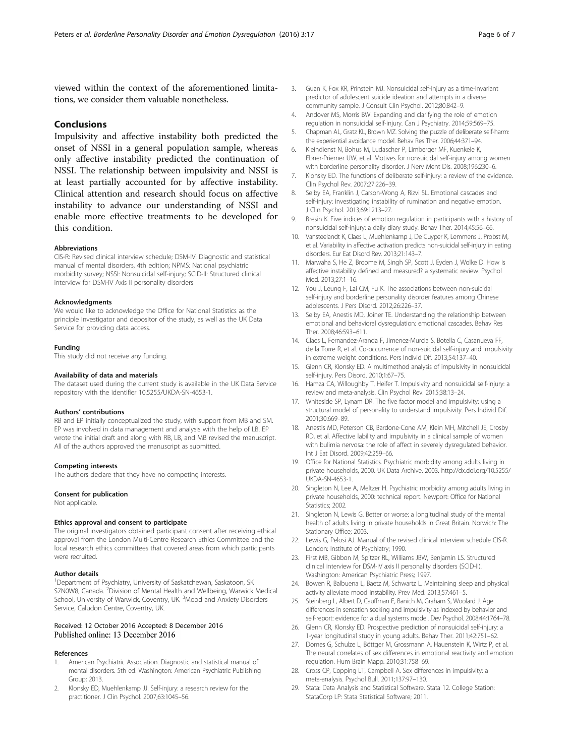<span id="page-5-0"></span>viewed within the context of the aforementioned limitations, we consider them valuable nonetheless.

## Conclusions

Impulsivity and affective instability both predicted the onset of NSSI in a general population sample, whereas only affective instability predicted the continuation of NSSI. The relationship between impulsivity and NSSI is at least partially accounted for by affective instability. Clinical attention and research should focus on affective instability to advance our understanding of NSSI and enable more effective treatments to be developed for this condition.

#### Abbreviations

CIS-R: Revised clinical interview schedule; DSM-IV: Diagnostic and statistical manual of mental disorders, 4th edition; NPMS: National psychiatric morbidity survey; NSSI: Nonsuicidal self-injury; SCID-II: Structured clinical interview for DSM-IV Axis II personality disorders

#### Acknowledgments

We would like to acknowledge the Office for National Statistics as the principle investigator and depositor of the study, as well as the UK Data Service for providing data access.

#### Funding

This study did not receive any funding.

#### Availability of data and materials

The dataset used during the current study is available in the UK Data Service repository with the identifier [10.5255/UKDA-SN-4653-1.](http://dx.doi.org/10.5255/UKDA-SN-4653-1)

#### Authors' contributions

RB and EP initially conceptualized the study, with support from MB and SM. EP was involved in data management and analysis with the help of LB. EP wrote the initial draft and along with RB, LB, and MB revised the manuscript. All of the authors approved the manuscript as submitted.

#### Competing interests

The authors declare that they have no competing interests.

#### Consent for publication

Not applicable.

#### Ethics approval and consent to participate

The original investigators obtained participant consent after receiving ethical approval from the London Multi-Centre Research Ethics Committee and the local research ethics committees that covered areas from which participants were recruited.

#### Author details

<sup>1</sup>Department of Psychiatry, University of Saskatchewan, Saskatoon, SK S7N0W8, Canada. <sup>2</sup>Division of Mental Health and Wellbeing, Warwick Medical School, University of Warwick, Coventry, UK. <sup>3</sup>Mood and Anxiety Disorders Service, Caludon Centre, Coventry, UK.

### Received: 12 October 2016 Accepted: 8 December 2016 Published online: 13 December 2016

#### References

- 1. American Psychiatric Association. Diagnostic and statistical manual of mental disorders. 5th ed. Washington: American Psychiatric Publishing Group; 2013.
- 2. Klonsky ED, Muehlenkamp JJ. Self-injury: a research review for the practitioner. J Clin Psychol. 2007;63:1045–56.
- 3. Guan K, Fox KR, Prinstein MJ. Nonsuicidal self-injury as a time-invariant predictor of adolescent suicide ideation and attempts in a diverse community sample. J Consult Clin Psychol. 2012;80:842–9.
- 4. Andover MS, Morris BW. Expanding and clarifying the role of emotion regulation in nonsuicidal self-injury. Can J Psychiatry. 2014;59:569–75.
- 5. Chapman AL, Gratz KL, Brown MZ. Solving the puzzle of deliberate self-harm: the experiential avoidance model. Behav Res Ther. 2006;44:371–94.
- 6. Kleindienst N, Bohus M, Ludascher P, Limberger MF, Kuenkele K, Ebner-Priemer UW, et al. Motives for nonsuicidal self-injury among women with borderline personality disorder. J Nerv Ment Dis. 2008;196:230–6.
- 7. Klonsky ED. The functions of deliberate self-injury: a review of the evidence. Clin Psychol Rev. 2007;27:226–39.
- 8. Selby EA, Franklin J, Carson-Wong A, Rizvi SL. Emotional cascades and self-injury: investigating instability of rumination and negative emotion. J Clin Psychol. 2013;69:1213–27.
- 9. Bresin K. Five indices of emotion regulation in participants with a history of nonsuicidal self-injury: a daily diary study. Behav Ther. 2014;45:56–66.
- 10. Vansteelandt K, Claes L, Muehlenkamp J, De Cuyper K, Lemmens J, Probst M, et al. Variability in affective activation predicts non-suicidal self-injury in eating disorders. Eur Eat Disord Rev. 2013;21:143–7.
- 11. Marwaha S, He Z, Broome M, Singh SP, Scott J, Eyden J, Wolke D. How is affective instability defined and measured? a systematic review. Psychol Med. 2013;27:1–16.
- 12. You J, Leung F, Lai CM, Fu K. The associations between non-suicidal self-injury and borderline personality disorder features among Chinese adolescents. J Pers Disord. 2012;26:226–37.
- 13. Selby EA, Anestis MD, Joiner TE. Understanding the relationship between emotional and behavioral dysregulation: emotional cascades. Behav Res Ther. 2008;46:593–611.
- 14. Claes L, Fernandez-Aranda F, Jimenez-Murcia S, Botella C, Casanueva FF, de la Torre R, et al. Co-occurrence of non-suicidal self-injury and impulsivity in extreme weight conditions. Pers Individ Dif. 2013;54:137–40.
- 15. Glenn CR, Klonsky ED. A multimethod analysis of impulsivity in nonsuicidal self-injury. Pers Disord. 2010;1:67–75.
- 16. Hamza CA, Willoughby T, Heifer T. Impulsivity and nonsuicidal self-injury: a review and meta-analysis. Clin Psychol Rev. 2015;38:13–24.
- 17. Whiteside SP, Lynam DR. The five factor model and impulsivity: using a structural model of personality to understand impulsivity. Pers Individ Dif. 2001;30:669–89.
- 18. Anestis MD, Peterson CB, Bardone-Cone AM, Klein MH, Mitchell JE, Crosby RD, et al. Affective lability and impulsivity in a clinical sample of women with bulimia nervosa: the role of affect in severely dysregulated behavior. Int J Eat Disord. 2009;42:259–66.
- 19. Office for National Statistics. Psychiatric morbidity among adults living in private households, 2000. UK Data Archive. 2003. [http://dx.doi.org/10.5255/](http://dx.doi.org/10.5255/UKDA-SN-4653-1) [UKDA-SN-4653-1](http://dx.doi.org/10.5255/UKDA-SN-4653-1).
- 20. Singleton N, Lee A, Meltzer H. Psychiatric morbidity among adults living in private households, 2000: technical report. Newport: Office for National Statistics; 2002.
- 21. Singleton N, Lewis G. Better or worse: a longitudinal study of the mental health of adults living in private households in Great Britain. Norwich: The Stationary Office; 2003.
- 22. Lewis G, Pelosi AJ. Manual of the revised clinical interview schedule CIS-R. London: Institute of Psychiatry; 1990.
- 23. First MB, Gibbon M, Spitzer RL, Williams JBW, Benjamin LS. Structured clinical interview for DSM-IV axis II personality disorders (SCID-II). Washington: American Psychiatric Press; 1997.
- 24. Bowen R, Balbuena L, Baetz M, Schwartz L. Maintaining sleep and physical activity alleviate mood instability. Prev Med. 2013;57:461–5.
- 25. Steinberg L, Albert D, Cauffman E, Banich M, Graham S, Woolard J. Age differences in sensation seeking and impulsivity as indexed by behavior and self-report: evidence for a dual systems model. Dev Psychol. 2008;44:1764–78.
- 26. Glenn CR, Klonsky ED. Prospective prediction of nonsuicidal self-injury: a 1-year longitudinal study in young adults. Behav Ther. 2011;42:751–62.
- 27. Domes G, Schulze L, Böttger M, Grossmann A, Hauenstein K, Wirtz P, et al. The neural correlates of sex differences in emotional reactivity and emotion regulation. Hum Brain Mapp. 2010;31:758–69.
- 28. Cross CP, Copping LT, Campbell A. Sex differences in impulsivity: a meta-analysis. Psychol Bull. 2011;137:97–130.
- 29. Stata: Data Analysis and Statistical Software. Stata 12. College Station: StataCorp LP: Stata Statistical Software; 2011.